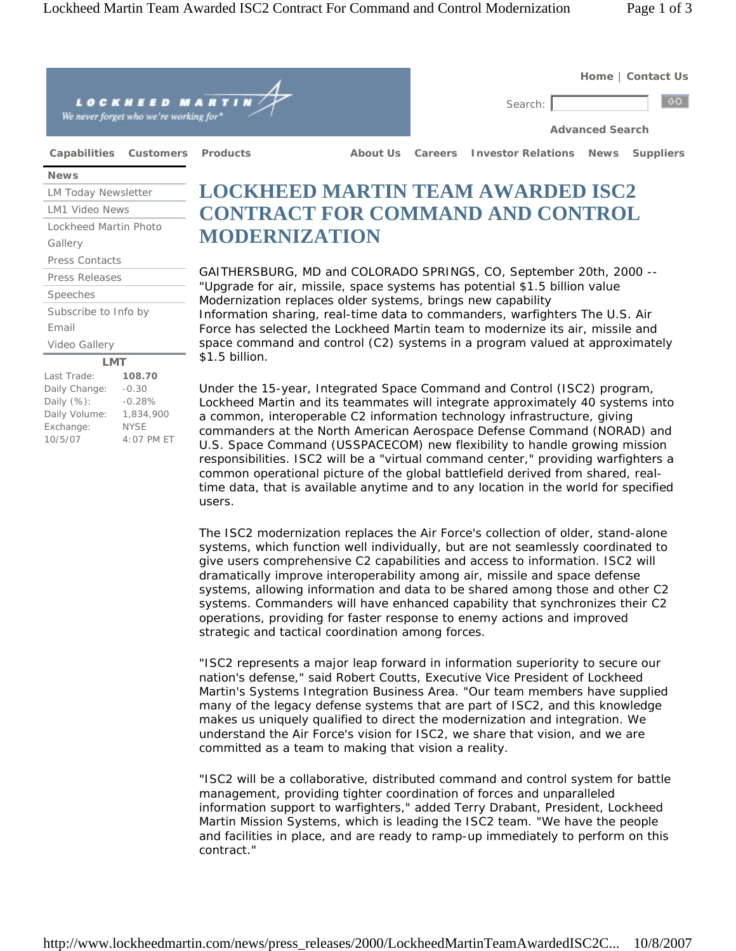

GAITHERSBURG, MD and COLORADO SPRINGS, CO, September 20th, 2000 -- "Upgrade for air, missile, space systems has potential \$1.5 billion value Modernization replaces older systems, brings new capability Information sharing, real-time data to commanders, warfighters The U.S. Air Force has selected the Lockheed Martin team to modernize its air, missile and space command and control (C2) systems in a program valued at approximately \$1.5 billion.

Under the 15-year, Integrated Space Command and Control (ISC2) program, Lockheed Martin and its teammates will integrate approximately 40 systems into a common, interoperable C2 information technology infrastructure, giving commanders at the North American Aerospace Defense Command (NORAD) and U.S. Space Command (USSPACECOM) new flexibility to handle growing mission responsibilities. ISC2 will be a "virtual command center," providing warfighters a common operational picture of the global battlefield derived from shared, realtime data, that is available anytime and to any location in the world for specified users.

The ISC2 modernization replaces the Air Force's collection of older, stand-alone systems, which function well individually, but are not seamlessly coordinated to give users comprehensive C2 capabilities and access to information. ISC2 will dramatically improve interoperability among air, missile and space defense systems, allowing information and data to be shared among those and other C2 systems. Commanders will have enhanced capability that synchronizes their C2 operations, providing for faster response to enemy actions and improved strategic and tactical coordination among forces.

"ISC2 represents a major leap forward in information superiority to secure our nation's defense," said Robert Coutts, Executive Vice President of Lockheed Martin's Systems Integration Business Area. "Our team members have supplied many of the legacy defense systems that are part of ISC2, and this knowledge makes us uniquely qualified to direct the modernization and integration. We understand the Air Force's vision for ISC2, we share that vision, and we are committed as a team to making that vision a reality.

"ISC2 will be a collaborative, distributed command and control system for battle management, providing tighter coordination of forces and unparalleled information support to warfighters," added Terry Drabant, President, Lockheed Martin Mission Systems, which is leading the ISC2 team. "We have the people and facilities in place, and are ready to ramp-up immediately to perform on this contract."

**LMT**

Last Trade: **108.70**  Daily Change: -0.30 Daily (%): -0.28% Daily Volume: 1,834,900 Exchange: NYSE 10/5/07 4:07 PM ET

Subscribe to Info by

Video Gallery

Email

Speeches Press Releases Press Contacts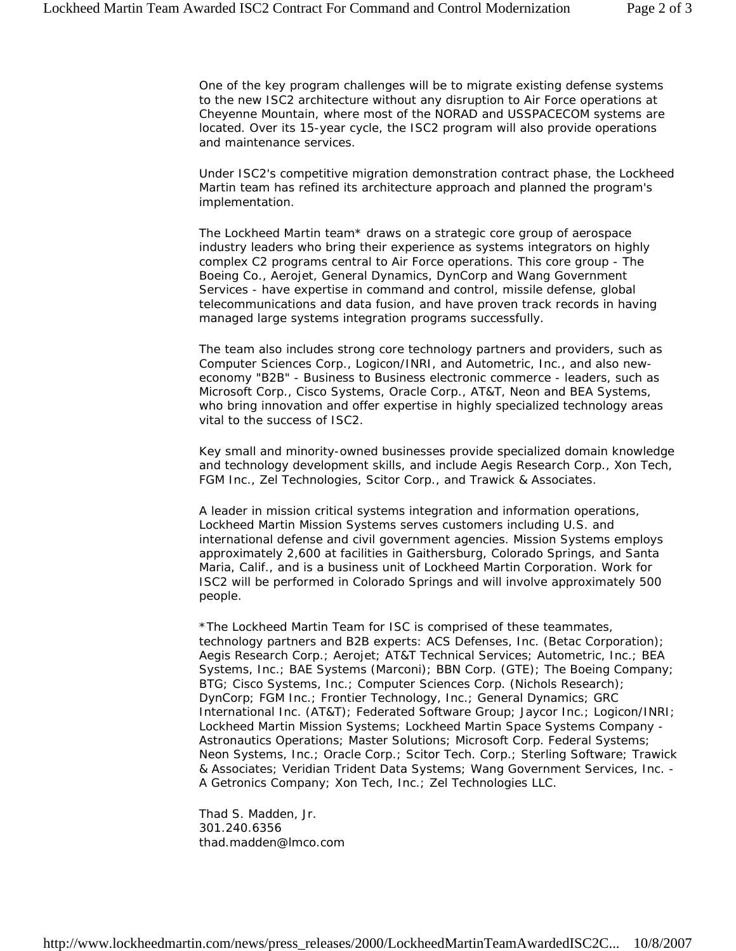One of the key program challenges will be to migrate existing defense systems to the new ISC2 architecture without any disruption to Air Force operations at Cheyenne Mountain, where most of the NORAD and USSPACECOM systems are located. Over its 15-year cycle, the ISC2 program will also provide operations and maintenance services.

Under ISC2's competitive migration demonstration contract phase, the Lockheed Martin team has refined its architecture approach and planned the program's implementation.

The Lockheed Martin team\* draws on a strategic core group of aerospace industry leaders who bring their experience as systems integrators on highly complex C2 programs central to Air Force operations. This core group - The Boeing Co., Aerojet, General Dynamics, DynCorp and Wang Government Services - have expertise in command and control, missile defense, global telecommunications and data fusion, and have proven track records in having managed large systems integration programs successfully.

The team also includes strong core technology partners and providers, such as Computer Sciences Corp., Logicon/INRI, and Autometric, Inc., and also neweconomy "B2B" - Business to Business electronic commerce - leaders, such as Microsoft Corp., Cisco Systems, Oracle Corp., AT&T, Neon and BEA Systems, who bring innovation and offer expertise in highly specialized technology areas vital to the success of ISC2.

Key small and minority-owned businesses provide specialized domain knowledge and technology development skills, and include Aegis Research Corp., Xon Tech, FGM Inc., Zel Technologies, Scitor Corp., and Trawick & Associates.

A leader in mission critical systems integration and information operations, Lockheed Martin Mission Systems serves customers including U.S. and international defense and civil government agencies. Mission Systems employs approximately 2,600 at facilities in Gaithersburg, Colorado Springs, and Santa Maria, Calif., and is a business unit of Lockheed Martin Corporation. Work for ISC2 will be performed in Colorado Springs and will involve approximately 500 people.

\*The Lockheed Martin Team for ISC is comprised of these teammates, technology partners and B2B experts: ACS Defenses, Inc. (Betac Corporation); Aegis Research Corp.; Aerojet; AT&T Technical Services; Autometric, Inc.; BEA Systems, Inc.; BAE Systems (Marconi); BBN Corp. (GTE); The Boeing Company; BTG; Cisco Systems, Inc.; Computer Sciences Corp. (Nichols Research); DynCorp; FGM Inc.; Frontier Technology, Inc.; General Dynamics; GRC International Inc. (AT&T); Federated Software Group; Jaycor Inc.; Logicon/INRI; Lockheed Martin Mission Systems; Lockheed Martin Space Systems Company - Astronautics Operations; Master Solutions; Microsoft Corp. Federal Systems; Neon Systems, Inc.; Oracle Corp.; Scitor Tech. Corp.; Sterling Software; Trawick & Associates; Veridian Trident Data Systems; Wang Government Services, Inc. - A Getronics Company; Xon Tech, Inc.; Zel Technologies LLC.

Thad S. Madden, Jr. 301.240.6356 thad.madden@lmco.com